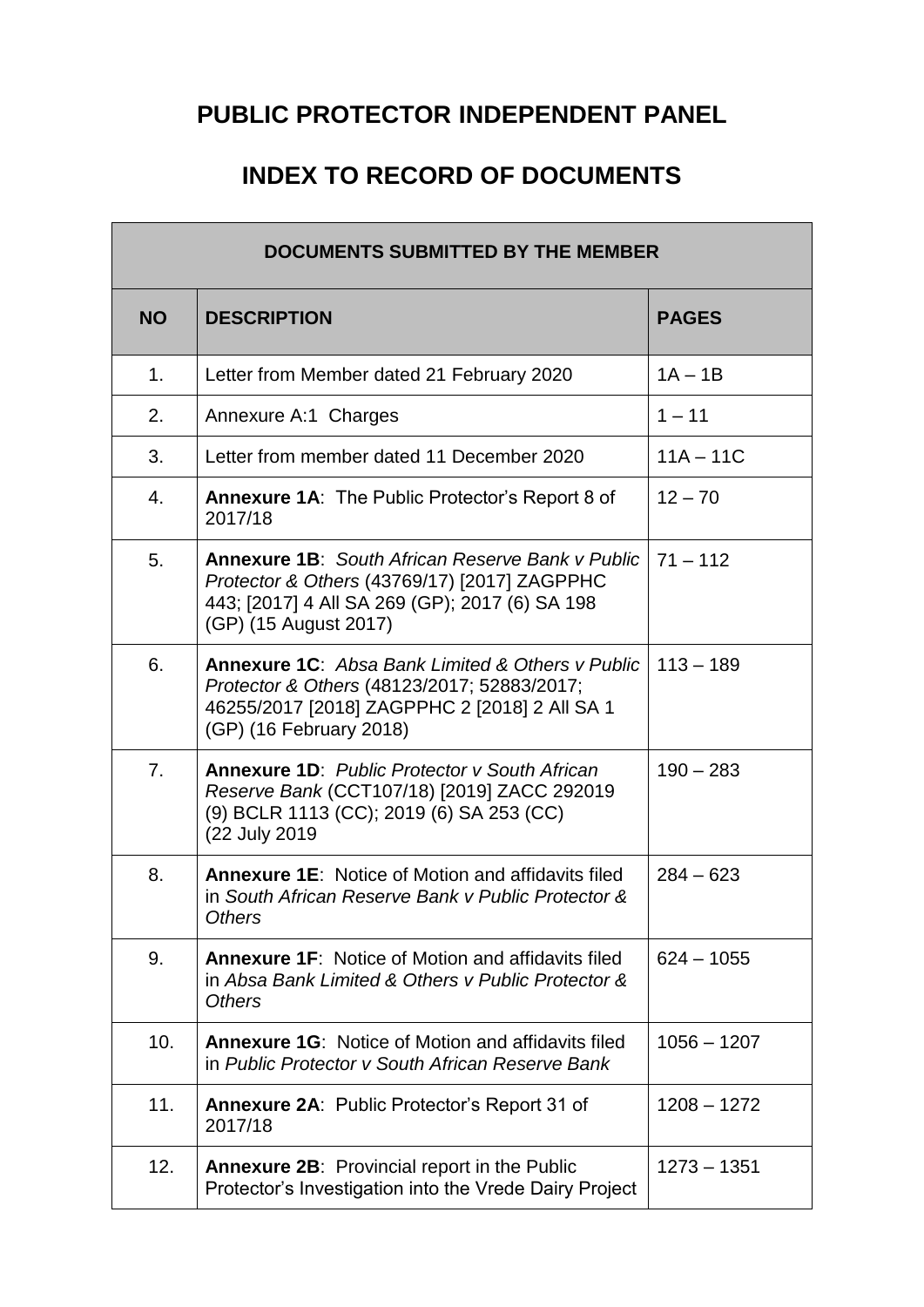## **PUBLIC PROTECTOR INDEPENDENT PANEL**

## **INDEX TO RECORD OF DOCUMENTS**

| <b>DOCUMENTS SUBMITTED BY THE MEMBER</b> |                                                                                                                                                                                    |               |
|------------------------------------------|------------------------------------------------------------------------------------------------------------------------------------------------------------------------------------|---------------|
| <b>NO</b>                                | <b>DESCRIPTION</b>                                                                                                                                                                 | <b>PAGES</b>  |
| 1.                                       | Letter from Member dated 21 February 2020                                                                                                                                          | $1A - 1B$     |
| 2.                                       | Annexure A:1 Charges                                                                                                                                                               | $1 - 11$      |
| 3.                                       | Letter from member dated 11 December 2020                                                                                                                                          | $11A - 11C$   |
| 4.                                       | <b>Annexure 1A:</b> The Public Protector's Report 8 of<br>2017/18                                                                                                                  | $12 - 70$     |
| 5.                                       | <b>Annexure 1B:</b> South African Reserve Bank v Public<br>Protector & Others (43769/17) [2017] ZAGPPHC<br>443; [2017] 4 All SA 269 (GP); 2017 (6) SA 198<br>(GP) (15 August 2017) | $71 - 112$    |
| 6.                                       | <b>Annexure 1C:</b> Absa Bank Limited & Others y Public<br>Protector & Others (48123/2017; 52883/2017;<br>46255/2017 [2018] ZAGPPHC 2 [2018] 2 All SA 1<br>(GP) (16 February 2018) | $113 - 189$   |
| 7.                                       | <b>Annexure 1D:</b> Public Protector v South African<br>Reserve Bank (CCT107/18) [2019] ZACC 292019<br>(9) BCLR 1113 (CC); 2019 (6) SA 253 (CC)<br>(22 July 2019                   | $190 - 283$   |
| 8.                                       | <b>Annexure 1E: Notice of Motion and affidavits filed</b><br>in South African Reserve Bank y Public Protector &<br><b>Others</b>                                                   | $284 - 623$   |
| 9.                                       | <b>Annexure 1F: Notice of Motion and affidavits filed</b><br>in Absa Bank Limited & Others y Public Protector &<br><b>Others</b>                                                   | $624 - 1055$  |
| 10.                                      | <b>Annexure 1G: Notice of Motion and affidavits filed</b><br>in Public Protector v South African Reserve Bank                                                                      | $1056 - 1207$ |
| 11.                                      | <b>Annexure 2A: Public Protector's Report 31 of</b><br>2017/18                                                                                                                     | $1208 - 1272$ |
| 12.                                      | <b>Annexure 2B:</b> Provincial report in the Public<br>Protector's Investigation into the Vrede Dairy Project                                                                      | $1273 - 1351$ |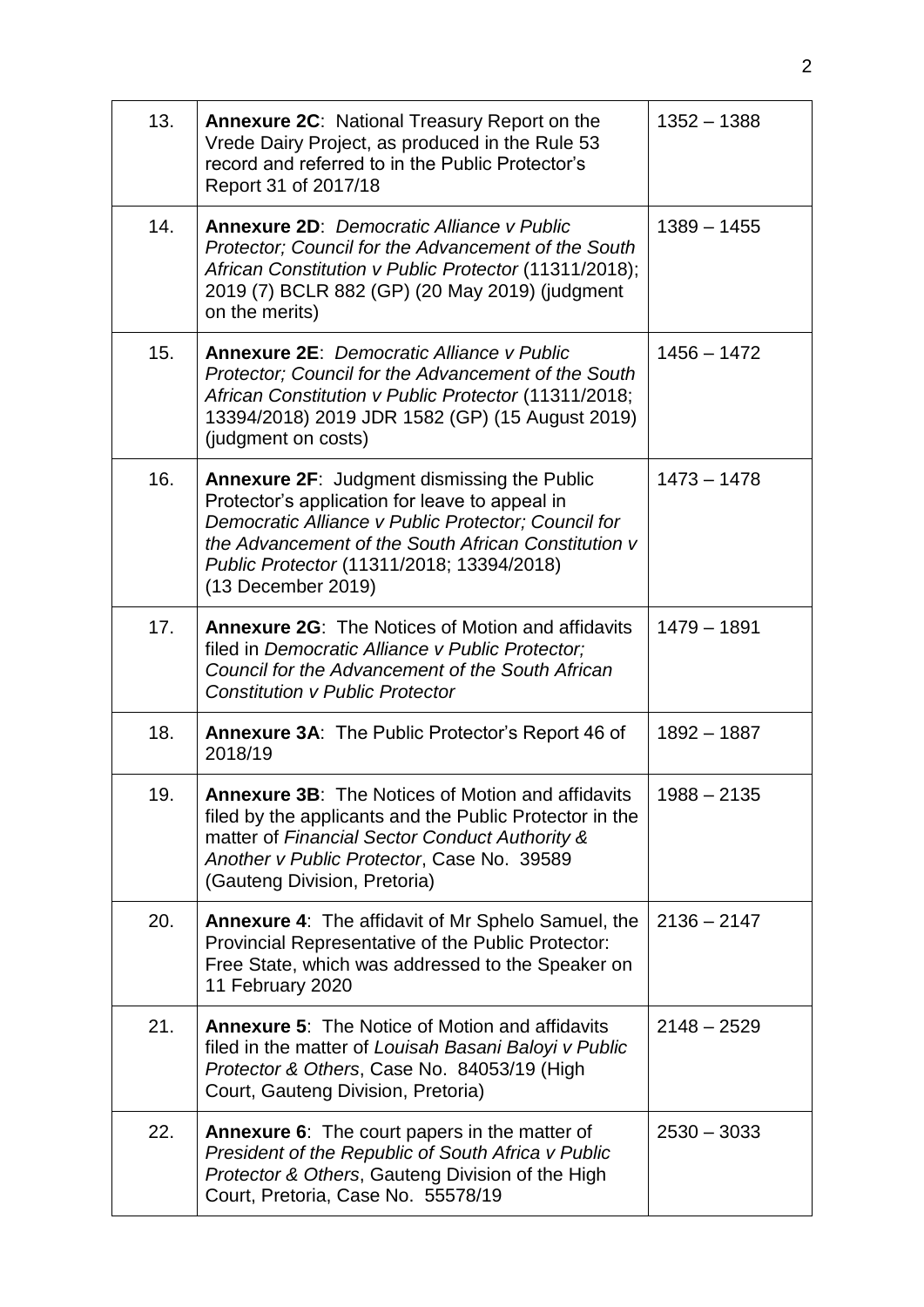| 13. | <b>Annexure 2C: National Treasury Report on the</b><br>Vrede Dairy Project, as produced in the Rule 53<br>record and referred to in the Public Protector's<br>Report 31 of 2017/18                                                                                                    | $1352 - 1388$ |
|-----|---------------------------------------------------------------------------------------------------------------------------------------------------------------------------------------------------------------------------------------------------------------------------------------|---------------|
| 14. | <b>Annexure 2D: Democratic Alliance v Public</b><br>Protector; Council for the Advancement of the South<br>African Constitution v Public Protector (11311/2018);<br>2019 (7) BCLR 882 (GP) (20 May 2019) (judgment<br>on the merits)                                                  | $1389 - 1455$ |
| 15. | <b>Annexure 2E: Democratic Alliance v Public</b><br>Protector; Council for the Advancement of the South<br>African Constitution v Public Protector (11311/2018;<br>13394/2018) 2019 JDR 1582 (GP) (15 August 2019)<br>(judgment on costs)                                             | $1456 - 1472$ |
| 16. | <b>Annexure 2F: Judgment dismissing the Public</b><br>Protector's application for leave to appeal in<br>Democratic Alliance v Public Protector: Council for<br>the Advancement of the South African Constitution y<br>Public Protector (11311/2018; 13394/2018)<br>(13 December 2019) | $1473 - 1478$ |
| 17. | <b>Annexure 2G:</b> The Notices of Motion and affidavits<br>filed in Democratic Alliance v Public Protector;<br>Council for the Advancement of the South African<br><b>Constitution y Public Protector</b>                                                                            | $1479 - 1891$ |
| 18. | <b>Annexure 3A: The Public Protector's Report 46 of</b><br>2018/19                                                                                                                                                                                                                    | $1892 - 1887$ |
| 19. | <b>Annexure 3B: The Notices of Motion and affidavits</b><br>filed by the applicants and the Public Protector in the<br>matter of Financial Sector Conduct Authority &<br>Another v Public Protector, Case No. 39589<br>(Gauteng Division, Pretoria)                                   | $1988 - 2135$ |
| 20. | <b>Annexure 4:</b> The affidavit of Mr Sphelo Samuel, the<br>Provincial Representative of the Public Protector:<br>Free State, which was addressed to the Speaker on<br>11 February 2020                                                                                              | $2136 - 2147$ |
| 21. | <b>Annexure 5: The Notice of Motion and affidavits</b><br>filed in the matter of Louisah Basani Baloyi v Public<br>Protector & Others, Case No. 84053/19 (High<br>Court, Gauteng Division, Pretoria)                                                                                  | $2148 - 2529$ |
| 22. | <b>Annexure 6:</b> The court papers in the matter of<br>President of the Republic of South Africa v Public<br>Protector & Others, Gauteng Division of the High<br>Court, Pretoria, Case No. 55578/19                                                                                  | $2530 - 3033$ |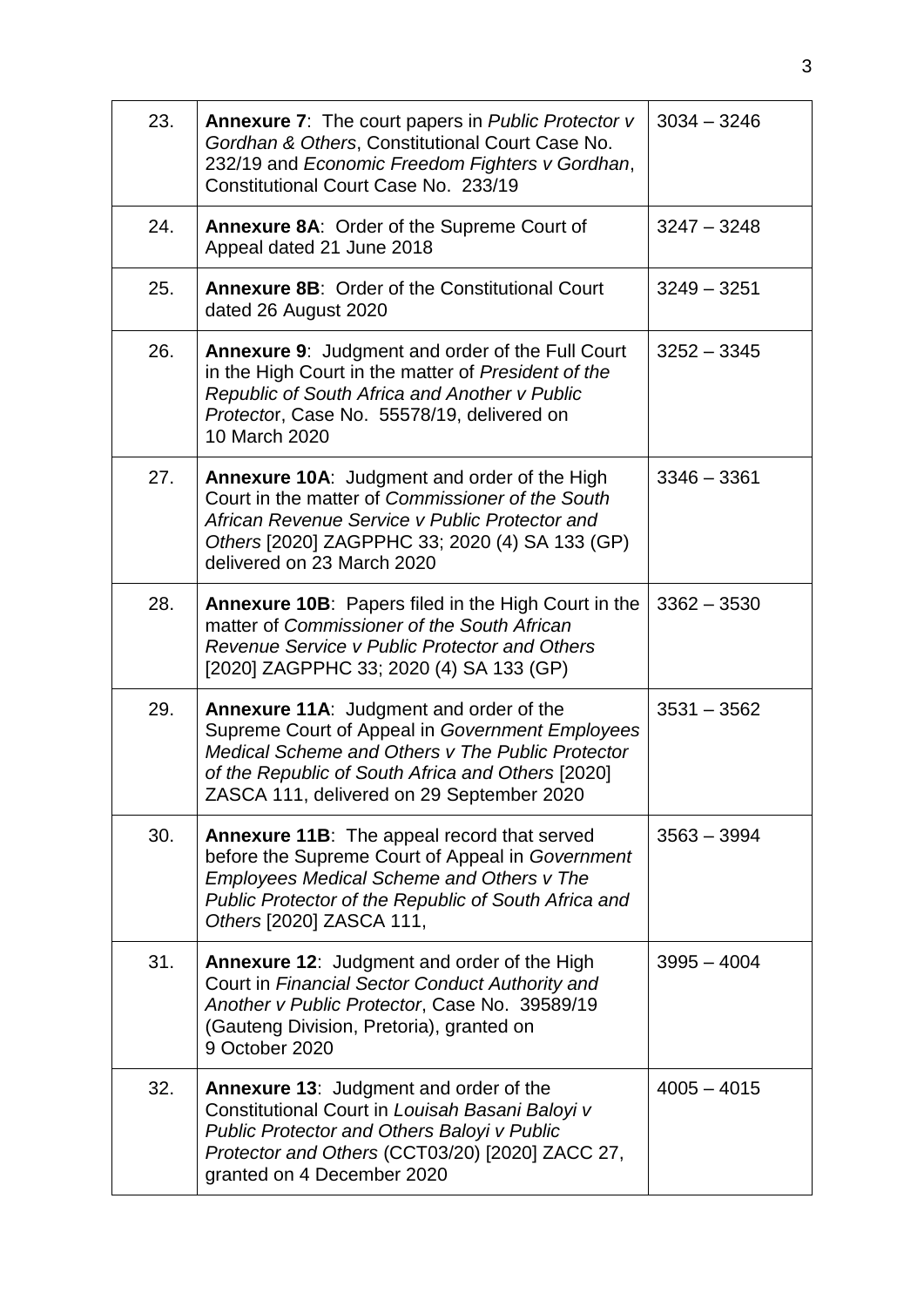| 23. | <b>Annexure 7:</b> The court papers in Public Protector v<br>Gordhan & Others, Constitutional Court Case No.<br>232/19 and Economic Freedom Fighters v Gordhan,<br>Constitutional Court Case No. 233/19                                                 | $3034 - 3246$ |
|-----|---------------------------------------------------------------------------------------------------------------------------------------------------------------------------------------------------------------------------------------------------------|---------------|
| 24. | Annexure 8A: Order of the Supreme Court of<br>Appeal dated 21 June 2018                                                                                                                                                                                 | $3247 - 3248$ |
| 25. | <b>Annexure 8B: Order of the Constitutional Court</b><br>dated 26 August 2020                                                                                                                                                                           | $3249 - 3251$ |
| 26. | <b>Annexure 9: Judgment and order of the Full Court</b><br>in the High Court in the matter of President of the<br>Republic of South Africa and Another v Public<br>Protector, Case No. 55578/19, delivered on<br>10 March 2020                          | $3252 - 3345$ |
| 27. | <b>Annexure 10A:</b> Judgment and order of the High<br>Court in the matter of Commissioner of the South<br>African Revenue Service y Public Protector and<br>Others [2020] ZAGPPHC 33; 2020 (4) SA 133 (GP)<br>delivered on 23 March 2020               | $3346 - 3361$ |
| 28. | <b>Annexure 10B:</b> Papers filed in the High Court in the<br>matter of Commissioner of the South African<br>Revenue Service v Public Protector and Others<br>[2020] ZAGPPHC 33; 2020 (4) SA 133 (GP)                                                   | $3362 - 3530$ |
| 29. | <b>Annexure 11A:</b> Judgment and order of the<br>Supreme Court of Appeal in Government Employees<br>Medical Scheme and Others v The Public Protector<br>of the Republic of South Africa and Others [2020]<br>ZASCA 111, delivered on 29 September 2020 | $3531 - 3562$ |
| 30. | <b>Annexure 11B:</b> The appeal record that served<br>before the Supreme Court of Appeal in Government<br><b>Employees Medical Scheme and Others v The</b><br>Public Protector of the Republic of South Africa and<br>Others [2020] ZASCA 111,          | $3563 - 3994$ |
| 31. | <b>Annexure 12: Judgment and order of the High</b><br>Court in Financial Sector Conduct Authority and<br>Another v Public Protector, Case No. 39589/19<br>(Gauteng Division, Pretoria), granted on<br>9 October 2020                                    | $3995 - 4004$ |
| 32. | <b>Annexure 13: Judgment and order of the</b><br>Constitutional Court in Louisah Basani Baloyi v<br>Public Protector and Others Baloyi v Public<br>Protector and Others (CCT03/20) [2020] ZACC 27,<br>granted on 4 December 2020                        | $4005 - 4015$ |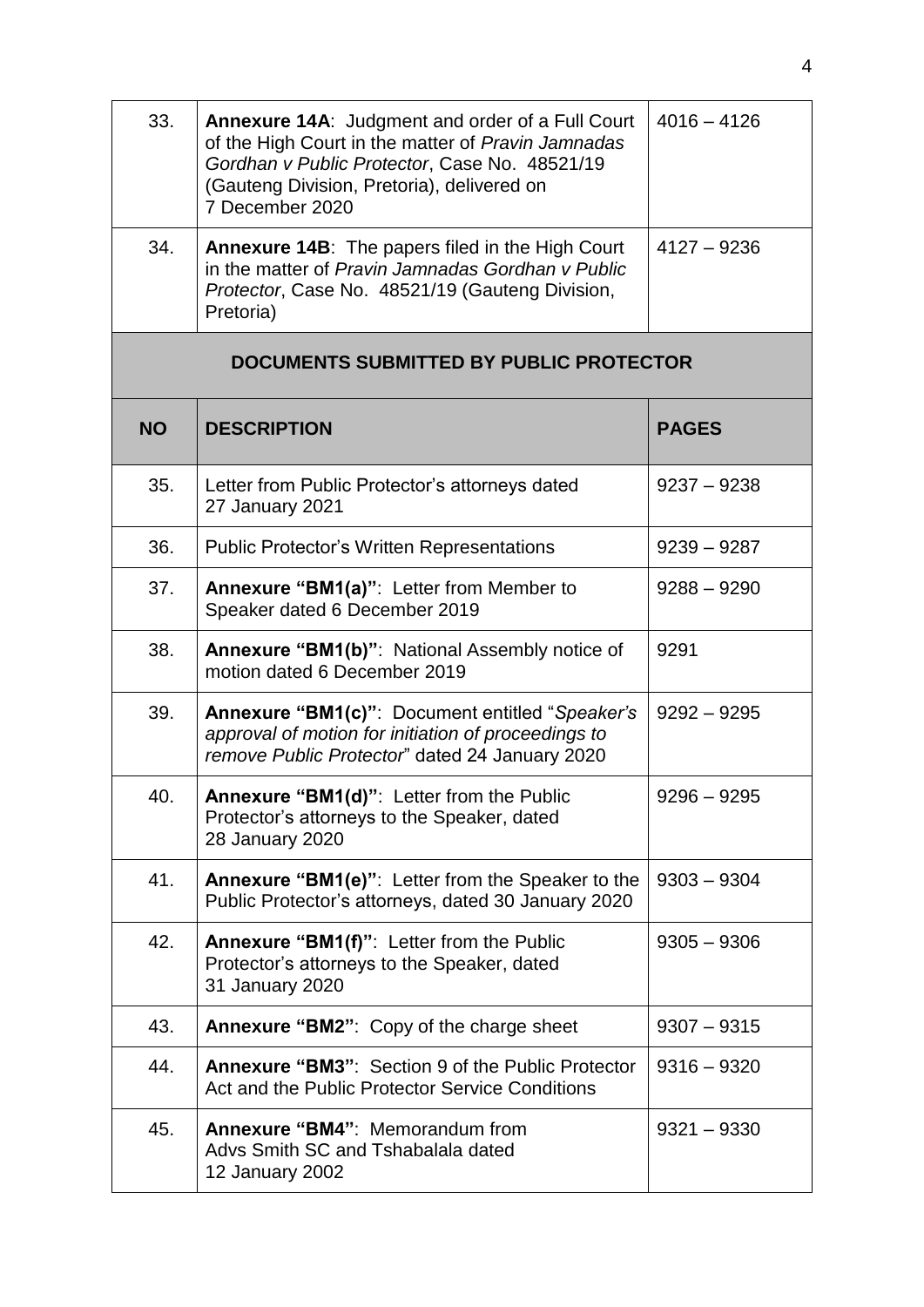| 33. | <b>Annexure 14A:</b> Judgment and order of a Full Court<br>of the High Court in the matter of Pravin Jamnadas<br>Gordhan v Public Protector, Case No. 48521/19<br>(Gauteng Division, Pretoria), delivered on<br>7 December 2020 | $4016 - 4126$ |
|-----|---------------------------------------------------------------------------------------------------------------------------------------------------------------------------------------------------------------------------------|---------------|
| 34. | Annexure 14B: The papers filed in the High Court<br>in the matter of Pravin Jamnadas Gordhan y Public<br>Protector, Case No. 48521/19 (Gauteng Division,<br>Pretoria)                                                           | $4127 - 9236$ |

## **DOCUMENTS SUBMITTED BY PUBLIC PROTECTOR**

| <b>NO</b> | <b>DESCRIPTION</b>                                                                                                                                       | <b>PAGES</b>  |
|-----------|----------------------------------------------------------------------------------------------------------------------------------------------------------|---------------|
| 35.       | Letter from Public Protector's attorneys dated<br>27 January 2021                                                                                        | $9237 - 9238$ |
| 36.       | <b>Public Protector's Written Representations</b>                                                                                                        | $9239 - 9287$ |
| 37.       | Annexure "BM1(a)": Letter from Member to<br>Speaker dated 6 December 2019                                                                                | $9288 - 9290$ |
| 38.       | Annexure "BM1(b)": National Assembly notice of<br>motion dated 6 December 2019                                                                           | 9291          |
| 39.       | Annexure "BM1(c)": Document entitled "Speaker's<br>approval of motion for initiation of proceedings to<br>remove Public Protector" dated 24 January 2020 | $9292 - 9295$ |
| 40.       | Annexure "BM1(d)": Letter from the Public<br>Protector's attorneys to the Speaker, dated<br>28 January 2020                                              | $9296 - 9295$ |
| 41.       | Annexure "BM1(e)": Letter from the Speaker to the<br>Public Protector's attorneys, dated 30 January 2020                                                 | $9303 - 9304$ |
| 42.       | Annexure "BM1(f)": Letter from the Public<br>Protector's attorneys to the Speaker, dated<br>31 January 2020                                              | $9305 - 9306$ |
| 43.       | Annexure "BM2": Copy of the charge sheet                                                                                                                 | $9307 - 9315$ |
| 44.       | Annexure "BM3": Section 9 of the Public Protector<br>Act and the Public Protector Service Conditions                                                     | $9316 - 9320$ |
| 45.       | Annexure "BM4": Memorandum from<br>Advs Smith SC and Tshabalala dated<br>12 January 2002                                                                 | $9321 - 9330$ |